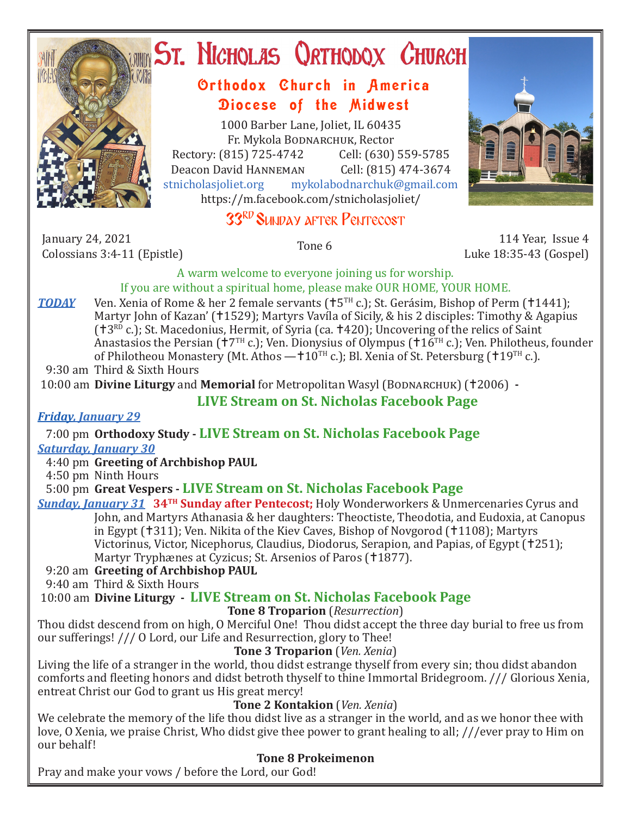

# ST. NICHOLAS QRTHODOX CHURCH

## Orthodox Church in America Diocese of the Midwest

1000 Barber Lane, Joliet, IL 60435 Fr. Mykola Bodnarchuk, Rector Rectory: (815) 725-4742 Cell: (630) 559-5785<br>Deacon David HANNEMAN Cell: (815) 474-3674 Deacon David Hanneman<br>stnicholasioliet.org mykola mykolabodnarchuk@gmail.com https://m.facebook.com/stnicholasjoliet/

# 33RD SUNDAY AFTER PENTECOST



January 24, 2021<br>Colossians 3:4-11 (Epistle) Colossians 3:4-11 (Epistle) Tone 6 114 Year, Issue 4 Luke 18:35-43 (Gospel)

A warm welcome to everyone joining us for worship. If you are without a spiritual home, please make OUR HOME, YOUR HOME.

**TODAY** Ven. Xenia of Rome & her 2 female servants ( $\uparrow$ 5<sup>TH</sup> c.); St. Gerásim, Bishop of Perm ( $\uparrow$ 1441); Martyr John of Kazan' (†1529); Martyrs Vavíla of Sicily, & his 2 disciples: Timothy & Agapius  $(13^{RD}$  c.); St. Macedonius, Hermit, of Syria (ca.  $1420$ ); Uncovering of the relics of Saint Anastasios the Persian ( $\dot{7}$ T<sup>H</sup> c.); Ven. Dionysius of Olympus ( $\dot{7}$ TH c.); Ven. Philotheus, founder of Philotheou Monastery (Mt. Athos  $-110^{TH}$  c.); Bl. Xenia of St. Petersburg (19<sup>TH</sup> c.).

9:30 am Third & Sixth Hours

10:00 am **Divine Liturgy** and **Memorial** for Metropolitan Wasyl (BODNARCHUK) (†2006) -

#### **LIVE Stream on St. Nicholas Facebook Page**

#### *Friday, January 29*

7:00 pm **Orthodoxy Study - LIVE Stream on St. Nicholas Facebook Page**

#### *Saturday, January 30*

4:40 pm **Greeting of Archbishop PAUL**

4:50 pm Ninth Hours

5:00 pm **Great Vespers - LIVE Stream on St. Nicholas Facebook Page**

#### *Sunday, January 31* **34TH Sunday after Pentecost;** Holy Wonderworkers & Unmercenaries Cyrus and John, and Martyrs Athanasia & her daughters: Theoctiste, Theodotia, and Eudoxia, at Canopus in Egypt (†311); Ven. Nikita of the Kiev Caves, Bishop of Novgorod (†1108); Martyrs Victorinus, Victor, Nicephorus, Claudius, Diodorus, Serapion, and Papias, of Egypt (†251);

Martyr Tryphænes at Cyzicus; St. Arsenios of Paros (†1877).

## 9:20 am **Greeting of Archbishop PAUL**

9:40 am Third & Sixth Hours

10:00 am **Divine Liturgy - LIVE Stream on St. Nicholas Facebook Page**

## **Tone 8 Troparion** (*Resurrection*)

Thou didst descend from on high, O Merciful One! Thou didst accept the three day burial to free us from our sufferings! /// O Lord, our Life and Resurrection, glory to Thee!

#### **Tone 3 Troparion** (*Ven. Xenia*)

Living the life of a stranger in the world, thou didst estrange thyself from every sin; thou didst abandon comforts and fleeting honors and didst betroth thyself to thine Immortal Bridegroom. /// Glorious Xenia, entreat Christ our God to grant us His great mercy!

#### **Tone 2 Kontakion** (*Ven. Xenia*)

We celebrate the memory of the life thou didst live as a stranger in the world, and as we honor thee with love, O Xenia, we praise Christ, Who didst give thee power to grant healing to all; ///ever pray to Him on our behalf!

## **Tone 8 Prokeimenon**

Pray and make your vows / before the Lord, our God!